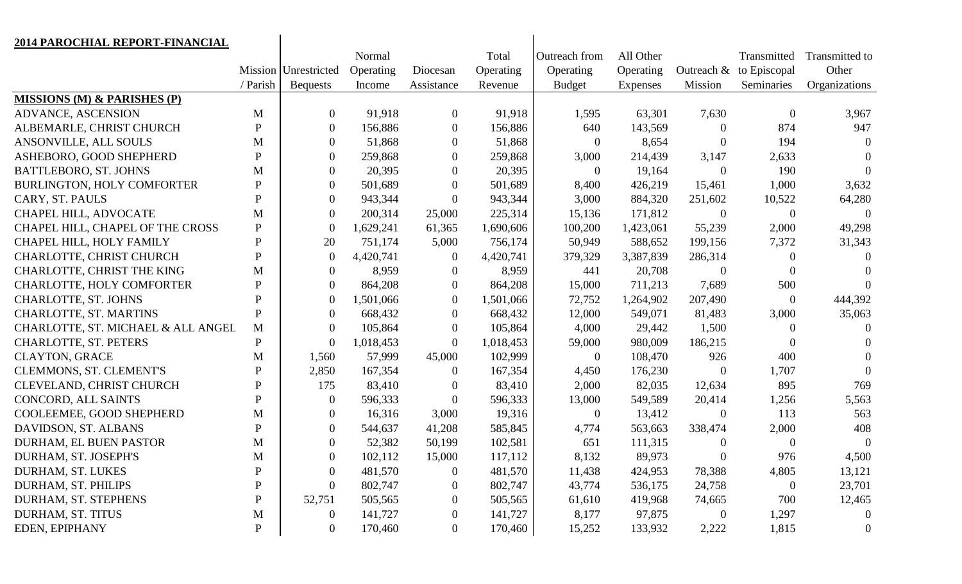| 2014 PAROCHIAL REPORT-FINANCIAL        |                |                      |           |                  |           |                |           |                  |                  |                |
|----------------------------------------|----------------|----------------------|-----------|------------------|-----------|----------------|-----------|------------------|------------------|----------------|
|                                        |                |                      | Normal    |                  | Total     | Outreach from  | All Other |                  | Transmitted      | Transmitted to |
|                                        |                | Mission Unrestricted | Operating | Diocesan         | Operating | Operating      | Operating | Outreach &       | to Episcopal     | Other          |
|                                        | / Parish       | <b>Bequests</b>      | Income    | Assistance       | Revenue   | <b>Budget</b>  | Expenses  | Mission          | Seminaries       | Organizations  |
| <b>MISSIONS (M) &amp; PARISHES (P)</b> |                |                      |           |                  |           |                |           |                  |                  |                |
| ADVANCE, ASCENSION                     | M              | $\overline{0}$       | 91,918    | $\overline{0}$   | 91,918    | 1,595          | 63,301    | 7,630            | $\overline{0}$   | 3,967          |
| ALBEMARLE, CHRIST CHURCH               | $\mathbf{P}$   | $\overline{0}$       | 156,886   | $\overline{0}$   | 156,886   | 640            | 143,569   | $\theta$         | 874              | 947            |
| ANSONVILLE, ALL SOULS                  | M              | $\overline{0}$       | 51,868    | $\overline{0}$   | 51,868    | $\theta$       | 8,654     | $\mathbf{0}$     | 194              | $\Omega$       |
| ASHEBORO, GOOD SHEPHERD                | $\mathbf{P}$   | $\overline{0}$       | 259,868   | $\overline{0}$   | 259,868   | 3,000          | 214,439   | 3,147            | 2,633            | $\Omega$       |
| BATTLEBORO, ST. JOHNS                  | M              | $\theta$             | 20,395    | $\overline{0}$   | 20,395    | $\theta$       | 19,164    | $\mathbf{0}$     | 190              | $\Omega$       |
| BURLINGTON, HOLY COMFORTER             | P              | $\overline{0}$       | 501,689   | $\overline{0}$   | 501,689   | 8,400          | 426,219   | 15,461           | 1,000            | 3,632          |
| CARY, ST. PAULS                        | P              | $\overline{0}$       | 943,344   | $\overline{0}$   | 943,344   | 3,000          | 884,320   | 251,602          | 10,522           | 64,280         |
| CHAPEL HILL, ADVOCATE                  | M              | $\overline{0}$       | 200,314   | 25,000           | 225,314   | 15,136         | 171,812   | $\boldsymbol{0}$ | $\boldsymbol{0}$ | $\theta$       |
| CHAPEL HILL, CHAPEL OF THE CROSS       | $\mathbf{P}$   | $\Omega$             | 1,629,241 | 61,365           | 1,690,606 | 100,200        | 1,423,061 | 55,239           | 2,000            | 49,298         |
| CHAPEL HILL, HOLY FAMILY               | $\overline{P}$ | 20                   | 751,174   | 5,000            | 756,174   | 50,949         | 588,652   | 199,156          | 7,372            | 31,343         |
| CHARLOTTE, CHRIST CHURCH               | $\mathbf{P}$   | $\theta$             | 4,420,741 | $\boldsymbol{0}$ | 4,420,741 | 379,329        | 3,387,839 | 286,314          | $\theta$         | $\Omega$       |
| CHARLOTTE, CHRIST THE KING             | M              | $\overline{0}$       | 8,959     | $\overline{0}$   | 8,959     | 441            | 20,708    | $\boldsymbol{0}$ | $\theta$         | $\theta$       |
| CHARLOTTE, HOLY COMFORTER              | P              | $\overline{0}$       | 864,208   | $\overline{0}$   | 864,208   | 15,000         | 711,213   | 7,689            | 500              | $\Omega$       |
| CHARLOTTE, ST. JOHNS                   | P              | $\theta$             | 1,501,066 | $\mathbf{0}$     | 1,501,066 | 72,752         | 1,264,902 | 207,490          | $\overline{0}$   | 444,392        |
| CHARLOTTE, ST. MARTINS                 | $\overline{P}$ | $\overline{0}$       | 668,432   | $\overline{0}$   | 668,432   | 12,000         | 549,071   | 81,483           | 3,000            | 35,063         |
| CHARLOTTE, ST. MICHAEL & ALL ANGEL     | M              | $\overline{0}$       | 105,864   | $\overline{0}$   | 105,864   | 4,000          | 29,442    | 1,500            | $\theta$         | $\Omega$       |
| CHARLOTTE, ST. PETERS                  | P              | $\Omega$             | 1,018,453 | $\mathbf{0}$     | 1,018,453 | 59,000         | 980,009   | 186,215          | $\theta$         | $\Omega$       |
| <b>CLAYTON, GRACE</b>                  | M              | 1,560                | 57,999    | 45,000           | 102,999   | $\theta$       | 108,470   | 926              | 400              | $\Omega$       |
| CLEMMONS, ST. CLEMENT'S                | P              | 2,850                | 167,354   | $\overline{0}$   | 167,354   | 4,450          | 176,230   | $\theta$         | 1,707            | $\Omega$       |
| CLEVELAND, CHRIST CHURCH               | $\mathbf P$    | 175                  | 83,410    | $\overline{0}$   | 83,410    | 2,000          | 82,035    | 12,634           | 895              | 769            |
| CONCORD, ALL SAINTS                    | $\mathbf{P}$   | $\overline{0}$       | 596,333   | $\overline{0}$   | 596,333   | 13,000         | 549,589   | 20,414           | 1,256            | 5,563          |
| COOLEEMEE, GOOD SHEPHERD               | M              | $\overline{0}$       | 16,316    | 3,000            | 19,316    | $\overline{0}$ | 13,412    | $\mathbf{0}$     | 113              | 563            |
| DAVIDSON, ST. ALBANS                   | $\mathbf{P}$   | $\overline{0}$       | 544,637   | 41,208           | 585,845   | 4,774          | 563,663   | 338,474          | 2,000            | 408            |
| DURHAM, EL BUEN PASTOR                 | M              | $\Omega$             | 52,382    | 50,199           | 102,581   | 651            | 111,315   | $\theta$         | $\overline{0}$   | $\overline{0}$ |
| DURHAM, ST. JOSEPH'S                   | M              | $\theta$             | 102,112   | 15,000           | 117,112   | 8,132          | 89,973    | $\theta$         | 976              | 4,500          |
| DURHAM, ST. LUKES                      | P              | $\theta$             | 481,570   | $\boldsymbol{0}$ | 481,570   | 11,438         | 424,953   | 78,388           | 4,805            | 13,121         |
| DURHAM, ST. PHILIPS                    | P              | $\theta$             | 802,747   | $\boldsymbol{0}$ | 802,747   | 43,774         | 536,175   | 24,758           | $\boldsymbol{0}$ | 23,701         |
| DURHAM, ST. STEPHENS                   | P              | 52,751               | 505,565   | $\theta$         | 505,565   | 61,610         | 419,968   | 74,665           | 700              | 12,465         |
| DURHAM, ST. TITUS                      | M              | $\theta$             | 141,727   | $\boldsymbol{0}$ | 141,727   | 8,177          | 97,875    | $\boldsymbol{0}$ | 1,297            | $\theta$       |
| EDEN, EPIPHANY                         | $\mathbf P$    | $\overline{0}$       | 170,460   | $\overline{0}$   | 170,460   | 15,252         | 133,932   | 2,222            | 1,815            | $\theta$       |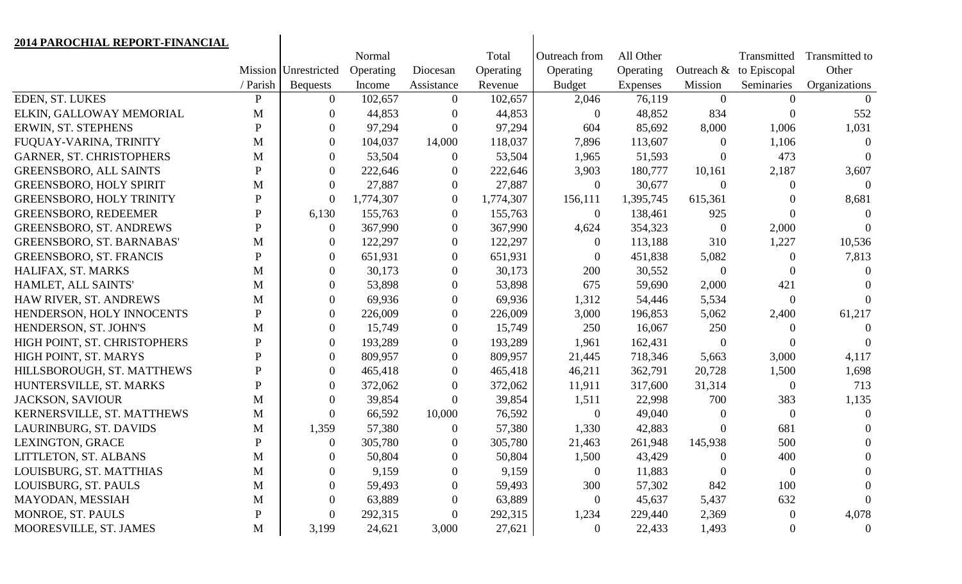| 2014 PAROCHIAL REPORT-FINANCIAL  |              |                      |           |                  |           |                  |           |                  |                  |                |
|----------------------------------|--------------|----------------------|-----------|------------------|-----------|------------------|-----------|------------------|------------------|----------------|
|                                  |              |                      | Normal    |                  | Total     | Outreach from    | All Other |                  | Transmitted      | Transmitted to |
|                                  |              | Mission Unrestricted | Operating | Diocesan         | Operating | Operating        | Operating | Outreach &       | to Episcopal     | Other          |
|                                  | / Parish     | <b>Bequests</b>      | Income    | Assistance       | Revenue   | <b>Budget</b>    | Expenses  | Mission          | Seminaries       | Organizations  |
| EDEN, ST. LUKES                  | $\mathbf{P}$ | $\overline{0}$       | 102,657   | $\overline{0}$   | 102,657   | 2,046            | 76,119    | $\Omega$         | $\Omega$         |                |
| ELKIN, GALLOWAY MEMORIAL         | M            | $\boldsymbol{0}$     | 44,853    |                  | 44,853    | $\overline{0}$   | 48,852    | 834              | $\overline{0}$   | 552            |
| ERWIN, ST. STEPHENS              | P            | $\overline{0}$       | 97,294    | $\overline{0}$   | 97,294    | 604              | 85,692    | 8,000            | 1,006            | 1,031          |
| FUQUAY-VARINA, TRINITY           | M            | $\boldsymbol{0}$     | 104,037   | 14,000           | 118,037   | 7,896            | 113,607   | $\Omega$         | 1,106            | $\Omega$       |
| <b>GARNER, ST. CHRISTOPHERS</b>  | M            | $\overline{0}$       | 53,504    | $\theta$         | 53,504    | 1,965            | 51,593    | $\Omega$         | 473              | $\Omega$       |
| <b>GREENSBORO, ALL SAINTS</b>    | P            | $\boldsymbol{0}$     | 222,646   | $\boldsymbol{0}$ | 222,646   | 3,903            | 180,777   | 10,161           | 2,187            | 3,607          |
| <b>GREENSBORO, HOLY SPIRIT</b>   | M            | $\overline{0}$       | 27,887    | $\overline{0}$   | 27,887    | $\overline{0}$   | 30,677    | $\Omega$         | $\theta$         |                |
| <b>GREENSBORO, HOLY TRINITY</b>  | $\mathbf{P}$ | $\boldsymbol{0}$     | 1,774,307 | $\boldsymbol{0}$ | 1,774,307 | 156,111          | 1,395,745 | 615,361          |                  | 8,681          |
| <b>GREENSBORO, REDEEMER</b>      | P            | 6,130                | 155,763   | $\overline{0}$   | 155,763   | $\theta$         | 138,461   | 925              | 0                | $\theta$       |
| <b>GREENSBORO, ST. ANDREWS</b>   | P            | $\overline{0}$       | 367,990   | $\boldsymbol{0}$ | 367,990   | 4,624            | 354,323   | $\theta$         | 2,000            |                |
| <b>GREENSBORO, ST. BARNABAS'</b> | M            | $\overline{0}$       | 122,297   | $\overline{0}$   | 122,297   | $\theta$         | 113,188   | 310              | 1,227            | 10,536         |
| <b>GREENSBORO, ST. FRANCIS</b>   | $\mathbf{P}$ | $\boldsymbol{0}$     | 651,931   | $\overline{0}$   | 651,931   | $\overline{0}$   | 451,838   | 5,082            | 0                | 7,813          |
| HALIFAX, ST. MARKS               | M            | $\overline{0}$       | 30,173    |                  | 30,173    | 200              | 30,552    | $\overline{0}$   | $\theta$         | $\theta$       |
| HAMLET, ALL SAINTS'              | M            | $\overline{0}$       | 53,898    |                  | 53,898    | 675              | 59,690    | 2,000            | 421              |                |
| HAW RIVER, ST. ANDREWS           | M            | $\overline{0}$       | 69,936    | $\theta$         | 69,936    | 1,312            | 54,446    | 5,534            | $\overline{0}$   |                |
| HENDERSON, HOLY INNOCENTS        | $\mathbf{P}$ | $\boldsymbol{0}$     | 226,009   | 0                | 226,009   | 3,000            | 196,853   | 5,062            | 2,400            | 61,217         |
| HENDERSON, ST. JOHN'S            | M            | $\overline{0}$       | 15,749    | $\theta$         | 15,749    | 250              | 16,067    | 250              | $\Omega$         |                |
| HIGH POINT, ST. CHRISTOPHERS     | $\mathbf{P}$ | $\overline{0}$       | 193,289   | $\boldsymbol{0}$ | 193,289   | 1,961            | 162,431   | $\overline{0}$   | 0                |                |
| HIGH POINT, ST. MARYS            | P            | $\overline{0}$       | 809,957   | $\overline{0}$   | 809,957   | 21,445           | 718,346   | 5,663            | 3,000            | 4,117          |
| HILLSBOROUGH, ST. MATTHEWS       | P            | $\overline{0}$       | 465,418   | $\boldsymbol{0}$ | 465,418   | 46,211           | 362,791   | 20,728           | 1,500            | 1,698          |
| HUNTERSVILLE, ST. MARKS          | P            | $\overline{0}$       | 372,062   | $\Omega$         | 372,062   | 11,911           | 317,600   | 31,314           | $\theta$         | 713            |
| <b>JACKSON, SAVIOUR</b>          | M            | $\overline{0}$       | 39,854    | $\overline{0}$   | 39,854    | 1,511            | 22,998    | 700              | 383              | 1,135          |
| KERNERSVILLE, ST. MATTHEWS       | M            | $\overline{0}$       | 66,592    | 10,000           | 76,592    | $\overline{0}$   | 49,040    |                  | $\theta$         | $\Omega$       |
| LAURINBURG, ST. DAVIDS           | M            | 1,359                | 57,380    | $\Omega$         | 57,380    | 1,330            | 42,883    | $\overline{0}$   | 681              |                |
| <b>LEXINGTON, GRACE</b>          | P            | $\overline{0}$       | 305,780   |                  | 305,780   | 21,463           | 261,948   | 145,938          | 500              | $\theta$       |
| LITTLETON, ST. ALBANS            | M            | $\overline{0}$       | 50,804    | $\mathbf{0}$     | 50,804    | 1,500            | 43,429    | $\boldsymbol{0}$ | 400              | $\overline{0}$ |
| LOUISBURG, ST. MATTHIAS          | M            | $\overline{0}$       | 9,159     | $\theta$         | 9,159     | $\theta$         | 11,883    | $\overline{0}$   | $\boldsymbol{0}$ | $\theta$       |
| LOUISBURG, ST. PAULS             | M            |                      | 59,493    |                  | 59,493    | 300              | 57,302    | 842              | 100              |                |
| MAYODAN, MESSIAH                 | M            | $\theta$             | 63,889    | $\theta$         | 63,889    | $\theta$         | 45,637    | 5,437            | 632              |                |
| MONROE, ST. PAULS                | ${\bf P}$    | $\boldsymbol{0}$     | 292,315   | $\boldsymbol{0}$ | 292,315   | 1,234            | 229,440   | 2,369            | $\boldsymbol{0}$ | 4,078          |
| MOORESVILLE, ST. JAMES           | M            | 3,199                | 24,621    | 3,000            | 27,621    | $\boldsymbol{0}$ | 22,433    | 1,493            | $\overline{0}$   | $\theta$       |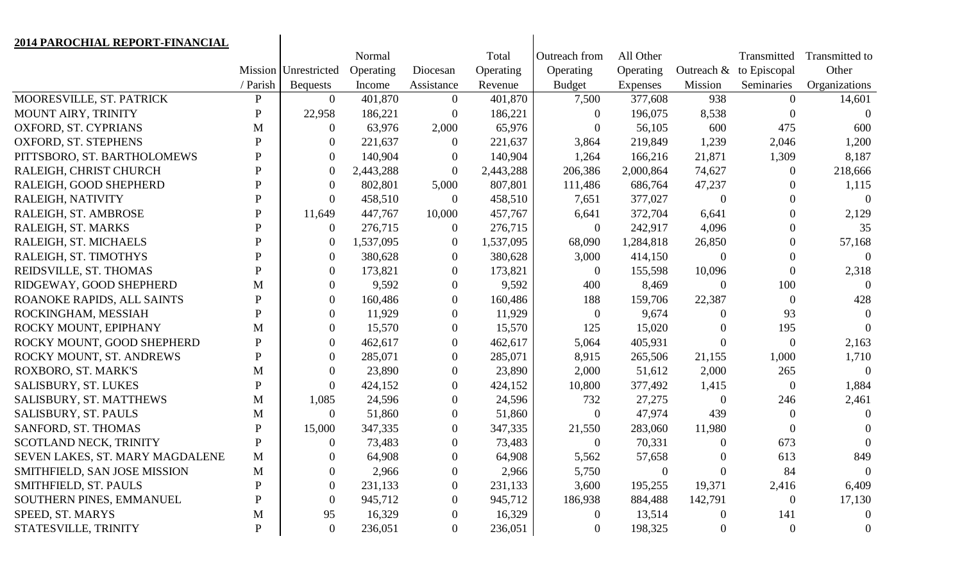| 2014 PAROCHIAL REPORT-FINANCIAL |              |                      |           |                  |           |                  |                |                  |                |                |
|---------------------------------|--------------|----------------------|-----------|------------------|-----------|------------------|----------------|------------------|----------------|----------------|
|                                 |              |                      | Normal    |                  | Total     | Outreach from    | All Other      |                  | Transmitted    | Transmitted to |
|                                 |              | Mission Unrestricted | Operating | Diocesan         | Operating | Operating        | Operating      | Outreach &       | to Episcopal   | Other          |
|                                 | / Parish     | <b>Bequests</b>      | Income    | Assistance       | Revenue   | <b>Budget</b>    | Expenses       | Mission          | Seminaries     | Organizations  |
| MOORESVILLE, ST. PATRICK        | $\mathbf{P}$ | $\overline{0}$       | 401,870   | $\overline{0}$   | 401,870   | 7,500            | 377,608        | 938              | $\Omega$       | 14,601         |
| MOUNT AIRY, TRINITY             | $\mathbf P$  | 22,958               | 186,221   | $\mathbf{0}$     | 186,221   | $\Omega$         | 196,075        | 8,538            | $\Omega$       | $\Omega$       |
| OXFORD, ST. CYPRIANS            | M            | $\theta$             | 63,976    | 2,000            | 65,976    | $\Omega$         | 56,105         | 600              | 475            | 600            |
| OXFORD, ST. STEPHENS            | $\mathbf{P}$ | $\overline{0}$       | 221,637   | $\overline{0}$   | 221,637   | 3,864            | 219,849        | 1,239            | 2,046          | 1,200          |
| PITTSBORO, ST. BARTHOLOMEWS     | $\mathbf{P}$ | $\Omega$             | 140,904   | $\theta$         | 140,904   | 1,264            | 166,216        | 21,871           | 1,309          | 8,187          |
| RALEIGH, CHRIST CHURCH          | $\mathbf{P}$ | $\theta$             | 2,443,288 | $\overline{0}$   | 2,443,288 | 206,386          | 2,000,864      | 74,627           | $\theta$       | 218,666        |
| RALEIGH, GOOD SHEPHERD          | P            | $\theta$             | 802,801   | 5,000            | 807,801   | 111,486          | 686,764        | 47,237           | $\theta$       | 1,115          |
| RALEIGH, NATIVITY               | $\mathbf{P}$ | $\overline{0}$       | 458,510   | $\boldsymbol{0}$ | 458,510   | 7,651            | 377,027        | $\boldsymbol{0}$ | 0              | $\theta$       |
| RALEIGH, ST. AMBROSE            | P            | 11,649               | 447,767   | 10,000           | 457,767   | 6,641            | 372,704        | 6,641            | $\theta$       | 2,129          |
| RALEIGH, ST. MARKS              | $\mathbf{P}$ | $\theta$             | 276,715   | $\overline{0}$   | 276,715   | $\overline{0}$   | 242,917        | 4,096            | $\overline{0}$ | 35             |
| RALEIGH, ST. MICHAELS           | P            | $\theta$             | 1,537,095 | $\overline{0}$   | 1,537,095 | 68,090           | 1,284,818      | 26,850           | 0              | 57,168         |
| RALEIGH, ST. TIMOTHYS           | P            | $\overline{0}$       | 380,628   | $\overline{0}$   | 380,628   | 3,000            | 414,150        | $\mathbf{0}$     | 0              | $\theta$       |
| REIDSVILLE, ST. THOMAS          | P            | $\overline{0}$       | 173,821   | $\overline{0}$   | 173,821   | $\Omega$         | 155,598        | 10,096           | $\theta$       | 2,318          |
| RIDGEWAY, GOOD SHEPHERD         | M            | $\overline{0}$       | 9,592     | $\theta$         | 9,592     | 400              | 8,469          | $\overline{0}$   | 100            | $\Omega$       |
| ROANOKE RAPIDS, ALL SAINTS      | P            | $\overline{0}$       | 160,486   | $\overline{0}$   | 160,486   | 188              | 159,706        | 22,387           | $\Omega$       | 428            |
| ROCKINGHAM, MESSIAH             | $\mathbf{P}$ | $\theta$             | 11,929    | $\overline{0}$   | 11,929    | $\overline{0}$   | 9,674          | $\theta$         | 93             | $\Omega$       |
| ROCKY MOUNT, EPIPHANY           | M            | $\overline{0}$       | 15,570    | $\overline{0}$   | 15,570    | 125              | 15,020         | $\theta$         | 195            | $\Omega$       |
| ROCKY MOUNT, GOOD SHEPHERD      | $\mathbf{P}$ | $\overline{0}$       | 462,617   | $\overline{0}$   | 462,617   | 5,064            | 405,931        | $\Omega$         | $\overline{0}$ | 2,163          |
| ROCKY MOUNT, ST. ANDREWS        | $\mathbf{P}$ | $\theta$             | 285,071   | $\mathbf{0}$     | 285,071   | 8,915            | 265,506        | 21,155           | 1,000          | 1,710          |
| ROXBORO, ST. MARK'S             | M            | $\theta$             | 23,890    | $\boldsymbol{0}$ | 23,890    | 2,000            | 51,612         | 2,000            | 265            | $\Omega$       |
| SALISBURY, ST. LUKES            | P            | $\theta$             | 424,152   | $\mathbf{0}$     | 424,152   | 10,800           | 377,492        | 1,415            | $\overline{0}$ | 1,884          |
| SALISBURY, ST. MATTHEWS         | M            | 1,085                | 24,596    | $\theta$         | 24,596    | 732              | 27,275         | $\mathbf{0}$     | 246            | 2,461          |
| SALISBURY, ST. PAULS            | M            | $\theta$             | 51,860    | $\theta$         | 51,860    | $\overline{0}$   | 47,974         | 439              | $\Omega$       | $\Omega$       |
| SANFORD, ST. THOMAS             | $\mathbf{P}$ | 15,000               | 347,335   | $\mathbf{0}$     | 347,335   | 21,550           | 283,060        | 11,980           | $\mathbf{0}$   | $\theta$       |
| SCOTLAND NECK, TRINITY          | $\mathbf{P}$ | $\theta$             | 73,483    | $\theta$         | 73,483    | $\overline{0}$   | 70,331         | $\overline{0}$   | 673            | $\overline{0}$ |
| SEVEN LAKES, ST. MARY MAGDALENE | $\mathbf M$  | $\mathbf{0}$         | 64,908    | $\mathbf{0}$     | 64,908    | 5,562            | 57,658         | $\overline{0}$   | 613            | 849            |
| SMITHFIELD, SAN JOSE MISSION    | M            | $\mathbf{\Omega}$    | 2,966     | $\boldsymbol{0}$ | 2,966     | 5,750            | $\overline{0}$ | $\theta$         | 84             | $\overline{0}$ |
| SMITHFIELD, ST. PAULS           | P            | $\theta$             | 231,133   | $\theta$         | 231,133   | 3,600            | 195,255        | 19,371           | 2,416          | 6,409          |
| SOUTHERN PINES, EMMANUEL        | P            | $\theta$             | 945,712   | $\overline{0}$   | 945,712   | 186,938          | 884,488        | 142,791          | $\theta$       | 17,130         |
| SPEED, ST. MARYS                | M            | 95                   | 16,329    | $\boldsymbol{0}$ | 16,329    | $\theta$         | 13,514         | $\boldsymbol{0}$ | 141            | $\theta$       |
| STATESVILLE, TRINITY            | $\mathbf{P}$ | $\overline{0}$       | 236,051   | $\overline{0}$   | 236,051   | $\boldsymbol{0}$ | 198,325        | $\boldsymbol{0}$ | $\overline{0}$ | $\theta$       |